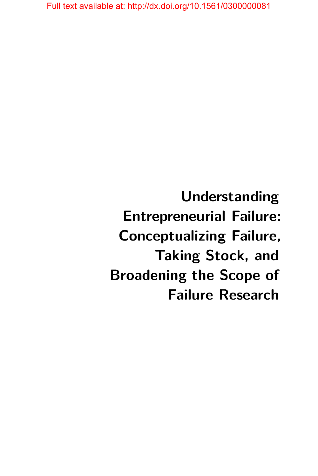**Understanding Entrepreneurial Failure: Conceptualizing Failure, Taking Stock, and Broadening the Scope of Failure Research**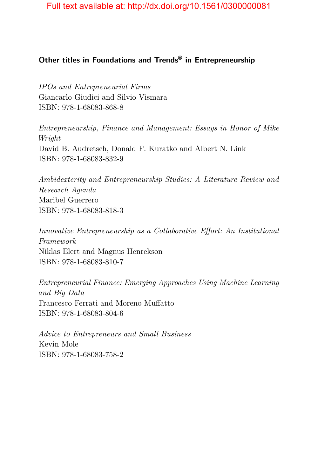## **Other titles in Foundations and Trends® in Entrepreneurship**

*IPOs and Entrepreneurial Firms* Giancarlo Giudici and Silvio Vismara ISBN: 978-1-68083-868-8

*Entrepreneurship, Finance and Management: Essays in Honor of Mike Wright* David B. Audretsch, Donald F. Kuratko and Albert N. Link ISBN: 978-1-68083-832-9

*Ambidexterity and Entrepreneurship Studies: A Literature Review and Research Agenda* Maribel Guerrero ISBN: 978-1-68083-818-3

*Innovative Entrepreneurship as a Collaborative Effort: An Institutional Framework* Niklas Elert and Magnus Henrekson ISBN: 978-1-68083-810-7

*Entrepreneurial Finance: Emerging Approaches Using Machine Learning and Big Data* Francesco Ferrati and Moreno Muffatto ISBN: 978-1-68083-804-6

*Advice to Entrepreneurs and Small Business* Kevin Mole ISBN: 978-1-68083-758-2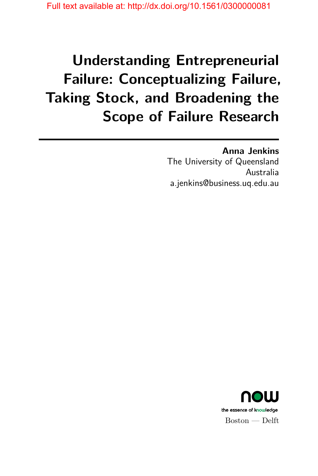# **Understanding Entrepreneurial Failure: Conceptualizing Failure, Taking Stock, and Broadening the Scope of Failure Research**

## **Anna Jenkins**

The University of Queensland Australia a.jenkins@business.uq.edu.au

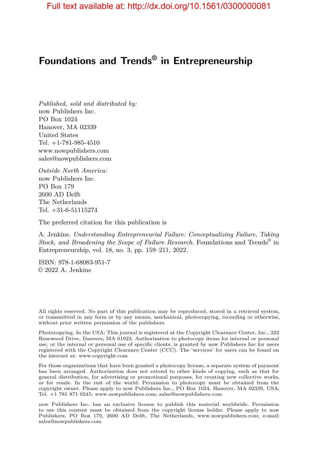# **Foundations and Trends® in Entrepreneurship**

*Published, sold and distributed by:* now Publishers Inc. PO Box 1024 Hanover, MA 02339 United States Tel. +1-781-985-4510 www.nowpublishers.com sales@nowpublishers.com

*Outside North America:* now Publishers Inc. PO Box 179 2600 AD Delft The Netherlands Tel. +31-6-51115274

The preferred citation for this publication is

A. Jenkins. *Understanding Entrepreneurial Failure: Conceptualizing Failure, Taking Stock, and Broadening the Scope of Failure Research*. Foundations and Trends® in Entrepreneurship, vol. 18, no. 3, pp. 159–211, 2022.

ISBN: 978-1-68083-951-7 © 2022 A. Jenkins

All rights reserved. No part of this publication may be reproduced, stored in a retrieval system, or transmitted in any form or by any means, mechanical, photocopying, recording or otherwise, without prior written permission of the publishers.

Photocopying. In the USA: This journal is registered at the Copyright Clearance Center, Inc., 222 Rosewood Drive, Danvers, MA 01923. Authorization to photocopy items for internal or personal use, or the internal or personal use of specific clients, is granted by now Publishers Inc for users registered with the Copyright Clearance Center (CCC). The 'services' for users can be found on the internet at: www.copyright.com

For those organizations that have been granted a photocopy license, a separate system of payment has been arranged. Authorization does not extend to other kinds of copying, such as that for general distribution, for advertising or promotional purposes, for creating new collective works, or for resale. In the rest of the world: Permission to photocopy must be obtained from the copyright owner. Please apply to now Publishers Inc., PO Box 1024, Hanover, MA 02339, USA; Tel. +1 781 871 0245; www.nowpublishers.com; sales@nowpublishers.com

now Publishers Inc. has an exclusive license to publish this material worldwide. Permission to use this content must be obtained from the copyright license holder. Please apply to now Publishers, PO Box 179, 2600 AD Delft, The Netherlands, www.nowpublishers.com; e-mail: sales@nowpublishers.com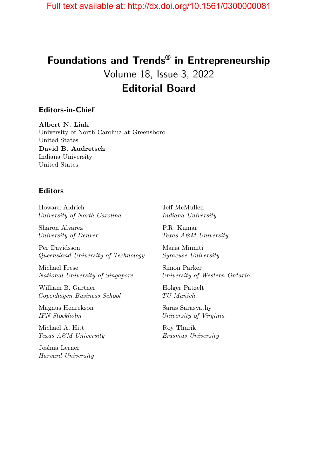# **Foundations and Trends® in Entrepreneurship** Volume 18, Issue 3, 2022 **Editorial Board**

#### **Editors-in-Chief**

**Albert N. Link** University of North Carolina at Greensboro United States **David B. Audretsch** Indiana University United States

#### **Editors**

Howard Aldrich *University of North Carolina*

Sharon Alvarez *University of Denver*

Per Davidsson *Queensland University of Technology*

Michael Frese *National University of Singapore*

William B. Gartner *Copenhagen Business School*

Magnus Henrekson *IFN Stockholm*

Michael A. Hitt *Texas A&M University*

Joshua Lerner *Harvard University* Jeff McMullen *Indiana University*

P.R. Kumar *Texas A&M University*

Maria Minniti *Syracuse University*

Simon Parker *University of Western Ontario*

Holger Patzelt *TU Munich*

Saras Sarasvathy *University of Virginia*

Roy Thurik *Erasmus University*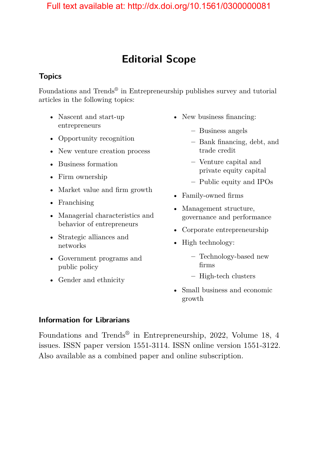# **Editorial Scope**

### **Topics**

Foundations and Trends<sup>®</sup> in Entrepreneurship publishes survey and tutorial articles in the following topics:

- Nascent and start-up entrepreneurs
- Opportunity recognition
- New venture creation process
- Business formation
- Firm ownership
- Market value and firm growth
- Franchising
- Managerial characteristics and behavior of entrepreneurs
- Strategic alliances and networks
- Government programs and public policy
- Gender and ethnicity
- New business financing:
	- **–** Business angels
	- **–** Bank financing, debt, and trade credit
	- **–** Venture capital and private equity capital
	- **–** Public equity and IPOs
- Family-owned firms
- Management structure, governance and performance
- Corporate entrepreneurship
- High technology:
	- **–** Technology-based new firms
	- **–** High-tech clusters
- Small business and economic growth

### **Information for Librarians**

Foundations and Trends® in Entrepreneurship, 2022, Volume 18, 4 issues. ISSN paper version 1551-3114. ISSN online version 1551-3122. Also available as a combined paper and online subscription.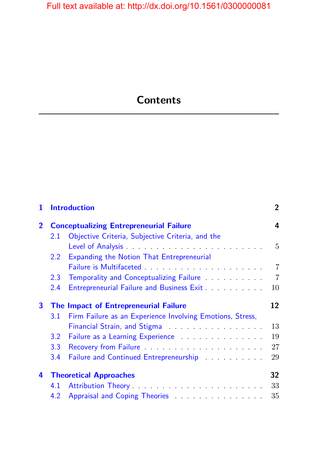# **Contents**

| 1              |                                       | <b>Introduction</b>                                                              | $\overline{2}$ |
|----------------|---------------------------------------|----------------------------------------------------------------------------------|----------------|
| $\overline{2}$ |                                       | <b>Conceptualizing Entrepreneurial Failure</b>                                   | 4              |
|                | 2.1                                   | Objective Criteria, Subjective Criteria, and the                                 |                |
|                |                                       |                                                                                  | 5              |
|                | 2.2                                   | Expanding the Notion That Entrepreneurial                                        |                |
|                |                                       |                                                                                  | $\overline{7}$ |
|                | $2.3^{\circ}$                         | Temporality and Conceptualizing Failure <b>Example 20</b>                        | $\overline{7}$ |
|                | 2.4                                   |                                                                                  | 10             |
| 3              | The Impact of Entrepreneurial Failure |                                                                                  |                |
|                | 3.1                                   | Firm Failure as an Experience Involving Emotions, Stress,                        |                |
|                |                                       |                                                                                  |                |
|                |                                       | Financial Strain, and Stigma                                                     | 13             |
|                | 3.2                                   | Failure as a Learning Experience <b>Experience Experience Experience EXPLACE</b> | 19             |
|                | 3.3                                   |                                                                                  | 27             |
|                | 3.4                                   | Failure and Continued Entrepreneurship <b>Election</b> 2014                      | 29             |
| 4              |                                       | <b>Theoretical Approaches</b>                                                    | 32             |
|                | 4.1                                   |                                                                                  | 33             |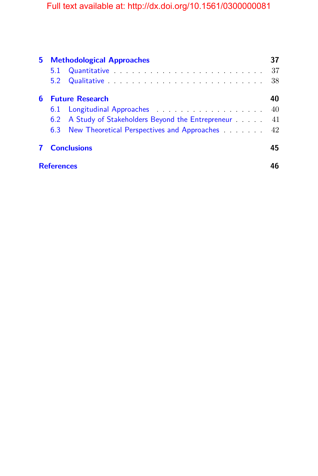| 5. |                        | <b>Methodological Approaches</b>                       |    |
|----|------------------------|--------------------------------------------------------|----|
|    | 5.1                    |                                                        | 37 |
|    |                        |                                                        | 38 |
| 6  | <b>Future Research</b> |                                                        | 40 |
|    |                        |                                                        | 40 |
|    |                        | 6.2 A Study of Stakeholders Beyond the Entrepreneur 41 |    |
|    |                        | 6.3 New Theoretical Perspectives and Approaches 42     |    |
|    |                        | <b>Conclusions</b>                                     | 45 |
|    | <b>References</b>      |                                                        |    |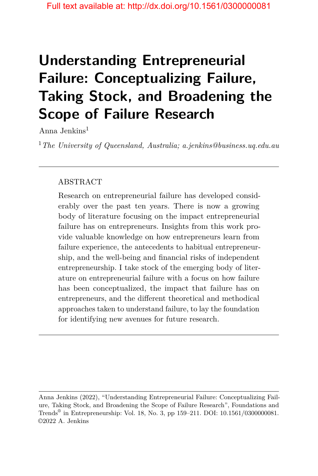# **Understanding Entrepreneurial Failure: Conceptualizing Failure, Taking Stock, and Broadening the Scope of Failure Research**

Anna Jenkins<sup>1</sup>

<sup>1</sup>*The University of Queensland, Australia; a.jenkins@business.uq.edu.au*

### ABSTRACT

Research on entrepreneurial failure has developed considerably over the past ten years. There is now a growing body of literature focusing on the impact entrepreneurial failure has on entrepreneurs. Insights from this work provide valuable knowledge on how entrepreneurs learn from failure experience, the antecedents to habitual entrepreneurship, and the well-being and financial risks of independent entrepreneurship. I take stock of the emerging body of literature on entrepreneurial failure with a focus on how failure has been conceptualized, the impact that failure has on entrepreneurs, and the different theoretical and methodical approaches taken to understand failure, to lay the foundation for identifying new avenues for future research.

Anna Jenkins (2022), "Understanding Entrepreneurial Failure: Conceptualizing Failure, Taking Stock, and Broadening the Scope of Failure Research", Foundations and Trends® in Entrepreneurship: Vol. 18, No. 3, pp 159–211. DOI: 10.1561/0300000081. ©2022 A. Jenkins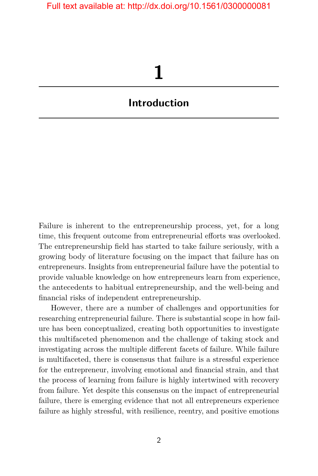# **1**

# <span id="page-9-0"></span>**Introduction**

Failure is inherent to the entrepreneurship process, yet, for a long time, this frequent outcome from entrepreneurial efforts was overlooked. The entrepreneurship field has started to take failure seriously, with a growing body of literature focusing on the impact that failure has on entrepreneurs. Insights from entrepreneurial failure have the potential to provide valuable knowledge on how entrepreneurs learn from experience, the antecedents to habitual entrepreneurship, and the well-being and financial risks of independent entrepreneurship.

However, there are a number of challenges and opportunities for researching entrepreneurial failure. There is substantial scope in how failure has been conceptualized, creating both opportunities to investigate this multifaceted phenomenon and the challenge of taking stock and investigating across the multiple different facets of failure. While failure is multifaceted, there is consensus that failure is a stressful experience for the entrepreneur, involving emotional and financial strain, and that the process of learning from failure is highly intertwined with recovery from failure. Yet despite this consensus on the impact of entrepreneurial failure, there is emerging evidence that not all entrepreneurs experience failure as highly stressful, with resilience, reentry, and positive emotions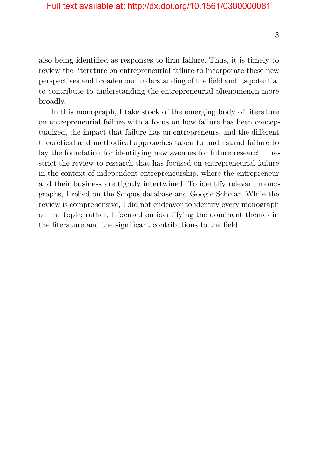also being identified as responses to firm failure. Thus, it is timely to review the literature on entrepreneurial failure to incorporate these new perspectives and broaden our understanding of the field and its potential to contribute to understanding the entrepreneurial phenomenon more broadly.

In this monograph, I take stock of the emerging body of literature on entrepreneurial failure with a focus on how failure has been conceptualized, the impact that failure has on entrepreneurs, and the different theoretical and methodical approaches taken to understand failure to lay the foundation for identifying new avenues for future research. I restrict the review to research that has focused on entrepreneurial failure in the context of independent entrepreneurship, where the entrepreneur and their business are tightly intertwined. To identify relevant monographs, I relied on the Scopus database and Google Scholar. While the review is comprehensive, I did not endeavor to identify every monograph on the topic; rather, I focused on identifying the dominant themes in the literature and the significant contributions to the field.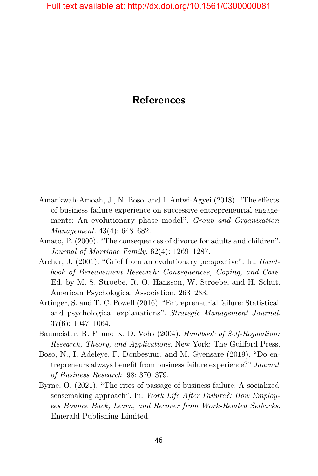- <span id="page-11-0"></span>Amankwah-Amoah, J., N. Boso, and I. Antwi-Agyei (2018). "The effects of business failure experience on successive entrepreneurial engagements: An evolutionary phase model". *Group and Organization Management*. 43(4): 648–682.
- Amato, P. (2000). "The consequences of divorce for adults and children". *Journal of Marriage Family*. 62(4): 1269–1287.
- Archer, J. (2001). "Grief from an evolutionary perspective". In: *Handbook of Bereavement Research: Consequences, Coping, and Care*. Ed. by M. S. Stroebe, R. O. Hansson, W. Stroebe, and H. Schut. American Psychological Association. 263–283.
- Artinger, S. and T. C. Powell (2016). "Entrepreneurial failure: Statistical and psychological explanations". *Strategic Management Journal*. 37(6): 1047–1064.
- Baumeister, R. F. and K. D. Vohs (2004). *Handbook of Self-Regulation: Research, Theory, and Applications*. New York: The Guilford Press.
- Boso, N., I. Adeleye, F. Donbesuur, and M. Gyensare (2019). "Do entrepreneurs always benefit from business failure experience?" *Journal of Business Research*. 98: 370–379.
- Byrne, O. (2021). "The rites of passage of business failure: A socialized sensemaking approach". In: *Work Life After Failure?: How Employees Bounce Back, Learn, and Recover from Work-Related Setbacks*. Emerald Publishing Limited.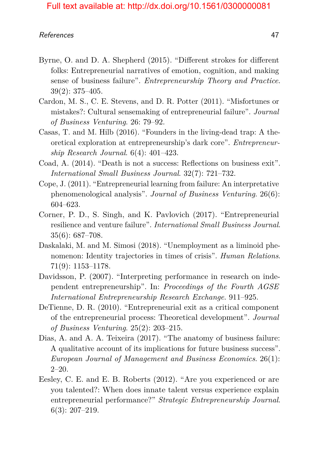- Byrne, O. and D. A. Shepherd (2015). "Different strokes for different folks: Entrepreneurial narratives of emotion, cognition, and making sense of business failure". *Entrepreneurship Theory and Practice*. 39(2): 375–405.
- Cardon, M. S., C. E. Stevens, and D. R. Potter (2011). "Misfortunes or mistakes?: Cultural sensemaking of entrepreneurial failure". *Journal of Business Venturing*. 26: 79–92.
- Casas, T. and M. Hilb (2016). "Founders in the living-dead trap: A theoretical exploration at entrepreneurship's dark core". *Entrepreneurship Research Journal*. 6(4): 401–423.
- Coad, A. (2014). "Death is not a success: Reflections on business exit". *International Small Business Journal*. 32(7): 721–732.
- Cope, J. (2011). "Entrepreneurial learning from failure: An interpretative phenomenological analysis". *Journal of Business Venturing*. 26(6): 604–623.
- Corner, P. D., S. Singh, and K. Pavlovich (2017). "Entrepreneurial resilience and venture failure". *International Small Business Journal*. 35(6): 687–708.
- Daskalaki, M. and M. Simosi (2018). "Unemployment as a liminoid phenomenon: Identity trajectories in times of crisis". *Human Relations*. 71(9): 1153–1178.
- Davidsson, P.  $(2007)$ . "Interpreting performance in research on independent entrepreneurship". In: *Proceedings of the Fourth AGSE International Entrepreneurship Research Exchange*. 911–925.
- DeTienne, D. R. (2010). "Entrepreneurial exit as a critical component of the entrepreneurial process: Theoretical development". *Journal of Business Venturing*. 25(2): 203–215.
- Dias, A. and A. A. Teixeira (2017). "The anatomy of business failure: A qualitative account of its implications for future business success". *European Journal of Management and Business Economics*. 26(1): 2–20.
- Eesley, C. E. and E. B. Roberts (2012). "Are you experienced or are you talented?: When does innate talent versus experience explain entrepreneurial performance?" *Strategic Entrepreneurship Journal*. 6(3): 207–219.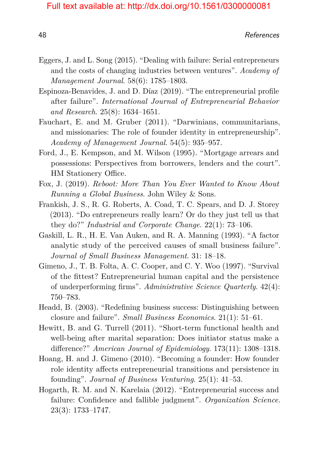- Eggers, J. and L. Song (2015). "Dealing with failure: Serial entrepreneurs and the costs of changing industries between ventures". *Academy of Management Journal*. 58(6): 1785–1803.
- Espinoza-Benavides, J. and D. Díaz (2019). "The entrepreneurial profile after failure". *International Journal of Entrepreneurial Behavior and Research*. 25(8): 1634–1651.
- Fauchart, E. and M. Gruber (2011). "Darwinians, communitarians, and missionaries: The role of founder identity in entrepreneurship". *Academy of Management Journal*. 54(5): 935–957.
- Ford, J., E. Kempson, and M. Wilson (1995). "Mortgage arrears and possessions: Perspectives from borrowers, lenders and the court". HM Stationery Office.
- Fox, J. (2019). *Reboot: More Than You Ever Wanted to Know About Running a Global Business*. John Wiley & Sons.
- Frankish, J. S., R. G. Roberts, A. Coad, T. C. Spears, and D. J. Storey (2013). "Do entrepreneurs really learn? Or do they just tell us that they do?" *Industrial and Corporate Change*. 22(1): 73–106.
- Gaskill, L. R., H. E. Van Auken, and R. A. Manning (1993). "A factor analytic study of the perceived causes of small business failure". *Journal of Small Business Management*. 31: 18–18.
- Gimeno, J., T. B. Folta, A. C. Cooper, and C. Y. Woo (1997). "Survival of the fittest? Entrepreneurial human capital and the persistence of underperforming firms". *Administrative Science Quarterly*. 42(4): 750–783.
- Headd, B. (2003). "Redefining business success: Distinguishing between closure and failure". *Small Business Economics*. 21(1): 51–61.
- Hewitt, B. and G. Turrell (2011). "Short-term functional health and well-being after marital separation: Does initiator status make a difference?" *American Journal of Epidemiology*. 173(11): 1308–1318.
- Hoang, H. and J. Gimeno (2010). "Becoming a founder: How founder role identity affects entrepreneurial transitions and persistence in founding". *Journal of Business Venturing*. 25(1): 41–53.
- Hogarth, R. M. and N. Karelaia (2012). "Entrepreneurial success and failure: Confidence and fallible judgment". *Organization Science*. 23(3): 1733–1747.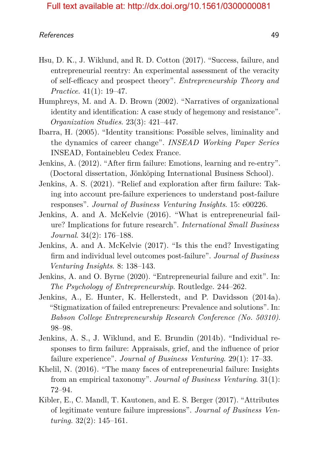- Hsu, D. K., J. Wiklund, and R. D. Cotton (2017). "Success, failure, and entrepreneurial reentry: An experimental assessment of the veracity of self-efficacy and prospect theory". *Entrepreneurship Theory and Practice*. 41(1): 19–47.
- Humphreys, M. and A. D. Brown (2002). "Narratives of organizational identity and identification: A case study of hegemony and resistance". *Organization Studies*. 23(3): 421–447.
- Ibarra, H. (2005). "Identity transitions: Possible selves, liminality and the dynamics of career change". *INSEAD Working Paper Series* INSEAD, Fontainebleu Cedex France.
- Jenkins, A. (2012). "After firm failure: Emotions, learning and re-entry". (Doctoral dissertation, Jönköping International Business School).
- Jenkins, A. S. (2021). "Relief and exploration after firm failure: Taking into account pre-failure experiences to understand post-failure responses". *Journal of Business Venturing Insights*. 15: e00226.
- Jenkins, A. and A. McKelvie (2016). "What is entrepreneurial failure? Implications for future research". *International Small Business Journal*. 34(2): 176–188.
- Jenkins, A. and A. McKelvie (2017). "Is this the end? Investigating firm and individual level outcomes post-failure". *Journal of Business Venturing Insights*. 8: 138–143.
- Jenkins, A. and O. Byrne (2020). "Entrepreneurial failure and exit". In: *The Psychology of Entrepreneurship*. Routledge. 244–262.
- Jenkins, A., E. Hunter, K. Hellerstedt, and P. Davidsson (2014a). "Stigmatization of failed entrepreneurs: Prevalence and solutions". In: *Babson College Entrepreneurship Research Conference (No. 50310)*. 98–98.
- Jenkins, A. S., J. Wiklund, and E. Brundin (2014b). "Individual responses to firm failure: Appraisals, grief, and the influence of prior failure experience". *Journal of Business Venturing*. 29(1): 17–33.
- Khelil, N. (2016). "The many faces of entrepreneurial failure: Insights from an empirical taxonomy". *Journal of Business Venturing*. 31(1): 72–94.
- Kibler, E., C. Mandl, T. Kautonen, and E. S. Berger (2017). "Attributes of legitimate venture failure impressions". *Journal of Business Venturing*. 32(2): 145–161.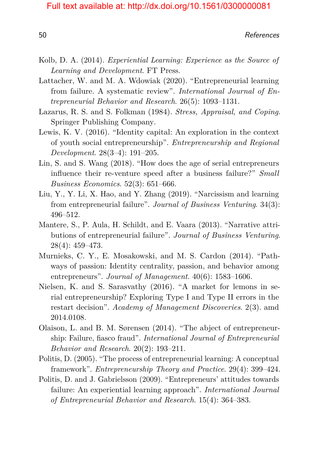- Kolb, D. A. (2014). *Experiential Learning: Experience as the Source of Learning and Development*. FT Press.
- Lattacher, W. and M. A. Wdowiak (2020). "Entrepreneurial learning from failure. A systematic review". *International Journal of Entrepreneurial Behavior and Research*. 26(5): 1093–1131.
- Lazarus, R. S. and S. Folkman (1984). *Stress, Appraisal, and Coping*. Springer Publishing Company.
- Lewis, K. V. (2016). "Identity capital: An exploration in the context of youth social entrepreneurship". *Entrepreneurship and Regional Development*. 28(3–4): 191–205.
- Lin, S. and S. Wang (2018). "How does the age of serial entrepreneurs influence their re-venture speed after a business failure?" *Small Business Economics*. 52(3): 651–666.
- Liu, Y., Y. Li, X. Hao, and Y. Zhang (2019). "Narcissism and learning from entrepreneurial failure". *Journal of Business Venturing*. 34(3): 496–512.
- Mantere, S., P. Aula, H. Schildt, and E. Vaara (2013). "Narrative attributions of entrepreneurial failure". *Journal of Business Venturing*. 28(4): 459–473.
- Murnieks, C. Y., E. Mosakowski, and M. S. Cardon (2014). "Pathways of passion: Identity centrality, passion, and behavior among entrepreneurs". *Journal of Management*. 40(6): 1583–1606.
- Nielsen, K. and S. Sarasvathy (2016). "A market for lemons in serial entrepreneurship? Exploring Type I and Type II errors in the restart decision". *Academy of Management Discoveries*. 2(3). amd 2014.0108.
- Olaison, L. and B. M. Sørensen (2014). "The abject of entrepreneurship: Failure, fiasco fraud". *International Journal of Entrepreneurial Behavior and Research*. 20(2): 193–211.
- Politis, D. (2005). "The process of entrepreneurial learning: A conceptual framework". *Entrepreneurship Theory and Practice*. 29(4): 399–424.
- Politis, D. and J. Gabrielsson (2009). "Entrepreneurs' attitudes towards failure: An experiential learning approach". *International Journal of Entrepreneurial Behavior and Research*. 15(4): 364–383.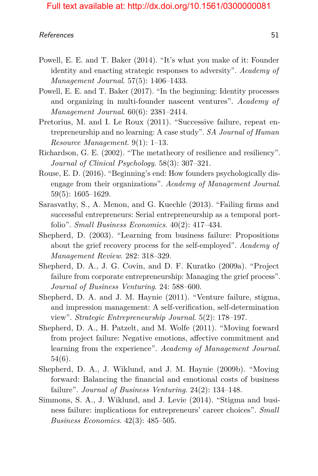- Powell, E. E. and T. Baker (2014). "It's what you make of it: Founder identity and enacting strategic responses to adversity". *Academy of Management Journal*. 57(5): 1406–1433.
- Powell, E. E. and T. Baker (2017). "In the beginning: Identity processes and organizing in multi-founder nascent ventures". *Academy of Management Journal*. 60(6): 2381–2414.
- Pretorius, M. and I. Le Roux (2011). "Successive failure, repeat entrepreneurship and no learning: A case study". *SA Journal of Human Resource Management*. 9(1): 1–13.
- Richardson, G. E. (2002). "The metatheory of resilience and resiliency". *Journal of Clinical Psychology*. 58(3): 307–321.
- Rouse, E. D. (2016). "Beginning's end: How founders psychologically disengage from their organizations". *Academy of Management Journal*. 59(5): 1605–1629.
- Sarasvathy, S., A. Menon, and G. Kuechle (2013). "Failing firms and successful entrepreneurs: Serial entrepreneurship as a temporal portfolio". *Small Business Economics*. 40(2): 417–434.
- Shepherd, D. (2003). "Learning from business failure: Propositions about the grief recovery process for the self-employed". *Academy of Management Review*. 282: 318–329.
- Shepherd, D. A., J. G. Covin, and D. F. Kuratko (2009a). "Project failure from corporate entrepreneurship: Managing the grief process". *Journal of Business Venturing*. 24: 588–600.
- Shepherd, D. A. and J. M. Haynie (2011). "Venture failure, stigma, and impression management: A self-verification, self-determination view". *Strategic Entrepreneurship Journal*. 5(2): 178–197.
- Shepherd, D. A., H. Patzelt, and M. Wolfe (2011). "Moving forward from project failure: Negative emotions, affective commitment and learning from the experience". *Academy of Management Journal*. 54(6).
- Shepherd, D. A., J. Wiklund, and J. M. Haynie (2009b). "Moving forward: Balancing the financial and emotional costs of business failure". *Journal of Business Venturing*. 24(2): 134–148.
- Simmons, S. A., J. Wiklund, and J. Levie (2014). "Stigma and business failure: implications for entrepreneurs' career choices". *Small Business Economics*. 42(3): 485–505.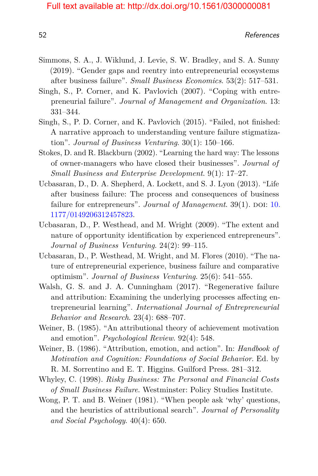- Simmons, S. A., J. Wiklund, J. Levie, S. W. Bradley, and S. A. Sunny (2019). "Gender gaps and reentry into entrepreneurial ecosystems after business failure". *Small Business Economics*. 53(2): 517–531.
- Singh, S., P. Corner, and K. Pavlovich (2007). "Coping with entrepreneurial failure". *Journal of Management and Organization*. 13: 331–344.
- Singh, S., P. D. Corner, and K. Pavlovich (2015). "Failed, not finished: A narrative approach to understanding venture failure stigmatization". *Journal of Business Venturing*. 30(1): 150–166.
- Stokes, D. and R. Blackburn (2002). "Learning the hard way: The lessons of owner-managers who have closed their businesses". *Journal of Small Business and Enterprise Development*. 9(1): 17–27.
- Ucbasaran, D., D. A. Shepherd, A. Lockett, and S. J. Lyon (2013). "Life after business failure: The process and consequences of business failure for entrepreneurs". *Journal of Management*. 39(1). DOI: [10.](https://doi.org/10.1177/0149206312457823) [1177/0149206312457823.](https://doi.org/10.1177/0149206312457823)
- Ucbasaran, D., P. Westhead, and M. Wright (2009). "The extent and nature of opportunity identification by experienced entrepreneurs". *Journal of Business Venturing*. 24(2): 99–115.
- Ucbasaran, D., P. Westhead, M. Wright, and M. Flores (2010). "The nature of entrepreneurial experience, business failure and comparative optimism". *Journal of Business Venturing*. 25(6): 541–555.
- Walsh, G. S. and J. A. Cunningham (2017). "Regenerative failure and attribution: Examining the underlying processes affecting entrepreneurial learning". *International Journal of Entrepreneurial Behavior and Research*. 23(4): 688–707.
- Weiner, B. (1985). "An attributional theory of achievement motivation and emotion". *Psychological Review*. 92(4): 548.
- Weiner, B. (1986). "Attribution, emotion, and action". In: *Handbook of Motivation and Cognition: Foundations of Social Behavior*. Ed. by R. M. Sorrentino and E. T. Higgins. Guilford Press. 281–312.
- Whyley, C. (1998). *Risky Business: The Personal and Financial Costs of Small Business Failure*. Westminster: Policy Studies Institute.
- Wong, P. T. and B. Weiner (1981). "When people ask 'why' questions, and the heuristics of attributional search". *Journal of Personality and Social Psychology*. 40(4): 650.